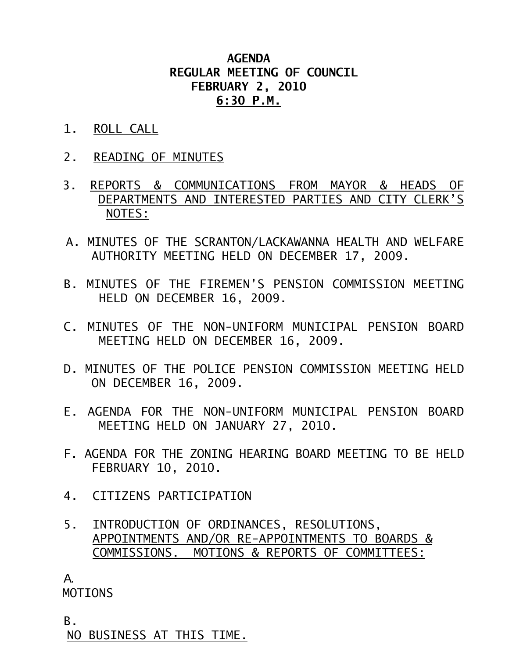## **AGENDA REGULAR MEETING OF COUNCIL FEBRUARY 2, 2010 6:30 P.M.**

- 1. ROLL CALL
- 2. READING OF MINUTES
- 3. REPORTS & COMMUNICATIONS FROM MAYOR & HEADS OF DEPARTMENTS AND INTERESTED PARTIES AND CITY CLERK'S NOTES:
- A. MINUTES OF THE SCRANTON/LACKAWANNA HEALTH AND WELFARE AUTHORITY MEETING HELD ON DECEMBER 17, 2009.
- B. MINUTES OF THE FIREMEN'S PENSION COMMISSION MEETING HELD ON DECEMBER 16, 2009.
- C. MINUTES OF THE NON-UNIFORM MUNICIPAL PENSION BOARD MEETING HELD ON DECEMBER 16, 2009.
- D. MINUTES OF THE POLICE PENSION COMMISSION MEETING HELD ON DECEMBER 16, 2009.
- E. AGENDA FOR THE NON-UNIFORM MUNICIPAL PENSION BOARD MEETING HELD ON JANUARY 27, 2010.
- F. AGENDA FOR THE ZONING HEARING BOARD MEETING TO BE HELD FEBRUARY 10, 2010.
- 4. CITIZENS PARTICIPATION
- 5. INTRODUCTION OF ORDINANCES, RESOLUTIONS, APPOINTMENTS AND/OR RE-APPOINTMENTS TO BOARDS & COMMISSIONS. MOTIONS & REPORTS OF COMMITTEES:

A.

MOTIONS

B.

NO BUSINESS AT THIS TIME.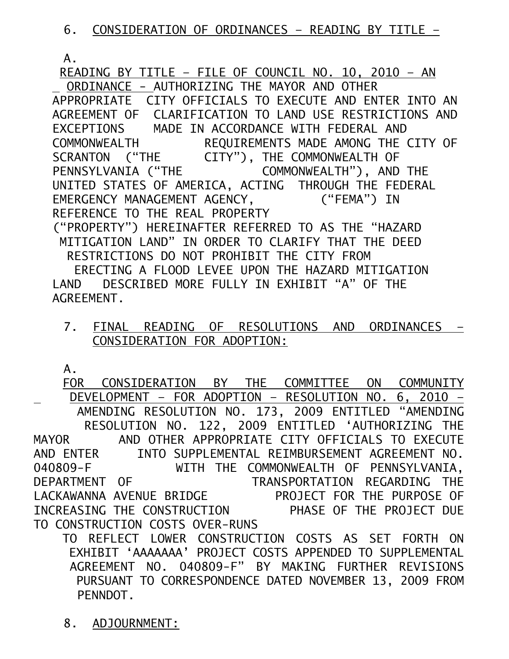A.

 READING BY TITLE – FILE OF COUNCIL NO. 10, 2010 – AN ORDINANCE - AUTHORIZING THE MAYOR AND OTHER APPROPRIATE CITY OFFICIALS TO EXECUTE AND ENTER INTO AN AGREEMENT OF CLARIFICATION TO LAND USE RESTRICTIONS AND EXCEPTIONS MADE IN ACCORDANCE WITH FEDERAL AND COMMONWEALTH REQUIREMENTS MADE AMONG THE CITY OF SCRANTON ("THE CITY"), THE COMMONWEALTH OF PENNSYLVANIA ("THE COMMONWEALTH"), AND THE UNITED STATES OF AMERICA, ACTING THROUGH THE FEDERAL EMERGENCY MANAGEMENT AGENCY, ("FEMA") IN REFERENCE TO THE REAL PROPERTY ("PROPERTY") HEREINAFTER REFERRED TO AS THE "HAZARD MITIGATION LAND" IN ORDER TO CLARIFY THAT THE DEED RESTRICTIONS DO NOT PROHIBIT THE CITY FROM ERECTING A FLOOD LEVEE UPON THE HAZARD MITIGATION LAND DESCRIBED MORE FULLY IN EXHIBIT "A" OF THE AGREEMENT.

7. FINAL READING OF RESOLUTIONS AND ORDINANCES – CONSIDERATION FOR ADOPTION:

A.

FOR CONSIDERATION BY THE COMMITTEE ON COMMUNITY DEVELOPMENT – FOR ADOPTION – RESOLUTION NO. 6, 2010 – AMENDING RESOLUTION NO. 173, 2009 ENTITLED "AMENDING RESOLUTION NO. 122, 2009 ENTITLED 'AUTHORIZING THE MAYOR AND OTHER APPROPRIATE CITY OFFICIALS TO EXECUTE AND ENTER INTO SUPPLEMENTAL REIMBURSEMENT AGREEMENT NO. 040809-F WITH THE COMMONWEALTH OF PENNSYLVANIA, DEPARTMENT OF TRANSPORTATION REGARDING THE LACKAWANNA AVENUE BRIDGE FROJECT FOR THE PURPOSE OF INCREASING THE CONSTRUCTION PHASE OF THE PROJECT DUE TO CONSTRUCTION COSTS OVER-RUNS

 TO REFLECT LOWER CONSTRUCTION COSTS AS SET FORTH ON EXHIBIT 'AAAAAAA' PROJECT COSTS APPENDED TO SUPPLEMENTAL AGREEMENT NO. 040809-F" BY MAKING FURTHER REVISIONS PURSUANT TO CORRESPONDENCE DATED NOVEMBER 13, 2009 FROM PENNDOT.

8. ADJOURNMENT: